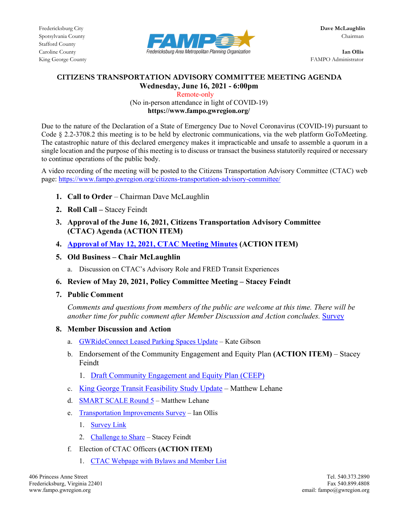

King George County **FAMPO** Administrator

## **CITIZENS TRANSPORTATION ADVISORY COMMITTEE MEETING AGENDA Wednesday, June 16, 2021 - 6:00pm**

 Remote-only (No in-person attendance in light of COVID-19) **https://www.fampo.gwregion.org/**

Due to the nature of the Declaration of a State of Emergency Due to Novel Coronavirus (COVID-19) pursuant to Code § 2.2-3708.2 this meeting is to be held by electronic communications, via the web platform GoToMeeting. The catastrophic nature of this declared emergency makes it impracticable and unsafe to assemble a quorum in a single location and the purpose of this meeting is to discuss or transact the business statutorily required or necessary to continue operations of the public body.

A video recording of the meeting will be posted to the Citizens Transportation Advisory Committee (CTAC) web page[: https://www.fampo.gwregion.org/citizens-transportation-advisory-committee/](https://www.fampo.gwregion.org/citizens-transportation-advisory-committee/)

- **1. Call to Order**  Chairman Dave McLaughlin
- **2. Roll Call –** Stacey Feindt
- **3. Approval of the June 16, 2021, Citizens Transportation Advisory Committee (CTAC) Agenda (ACTION ITEM)**
- **4. [Approval of May 12, 2021, CTAC Meeting Minutes](https://www.fampo.gwregion.org/wp-content/uploads/2021/05/2021.05.12_CTAC_Minutes-Draft_Staff-Reviewed.pdf) (ACTION ITEM)**
- **5. Old Business – Chair McLaughlin**

a. Discussion on CTAC's Advisory Role and FRED Transit Experiences

- **6. Review of May 20, 2021, Policy Committee Meeting – Stacey Feindt**
- **7. Public Comment**

*Comments and questions from members of the public are welcome at this time. There will be another time for public comment after Member Discussion and Action concludes.* [Survey](https://www.fampo.gwregion.org/wp-content/uploads/2020/11/Post_Meeting_Survey_Screenshare.pdf)

## **8. Member Discussion and Action**

- a. [GWRideConnect Leased Parking Spaces Update](https://www.fampo.gwregion.org/wp-content/uploads/2021/06/GWRideConnect-Leased-Spaces-Presentation-210616.pdf) Kate Gibson
- b. Endorsement of the Community Engagement and Equity Plan **(ACTION ITEM)** Stacey Feindt
	- 1. [Draft Community Engagement and Equity Plan \(CEEP\)](https://www.fampo.gwregion.org/wp-content/uploads/2021/04/Draft-CEEP-Final-Draft_4.13.2021_V2.pdf)
- c. [King George Transit Feasibility Study](https://www.fampo.gwregion.org/wp-content/uploads/2021/06/KG-Transit-Study_CTAC_June_v1.pdf) Update Matthew Lehane
- d. [SMART SCALE](https://www.fampo.gwregion.org/wp-content/uploads/2021/06/SMART-SCALE_June-CTAC-v1.pdf) Round 5 Matthew Lehane
- e. [Transportation Improvements Survey](https://www.fampo.gwregion.org/wp-content/uploads/2021/06/CTAC-Briefing-FAMPO-Survey-Transportation-Improvements-Survey-.pdf) Ian Ollis
	- 1. [Survey Link](https://arcg.is/1i0myu)
	- 2. [Challenge to Share](https://www.fampo.gwregion.org/new-transportation-improvements-survey/) Stacey Feindt
- f. Election of CTAC Officers **(ACTION ITEM)**
	- 1. [CTAC Webpage with Bylaws](https://www.fampo.gwregion.org/citizens-transportation-advisory-committee/) and Member List